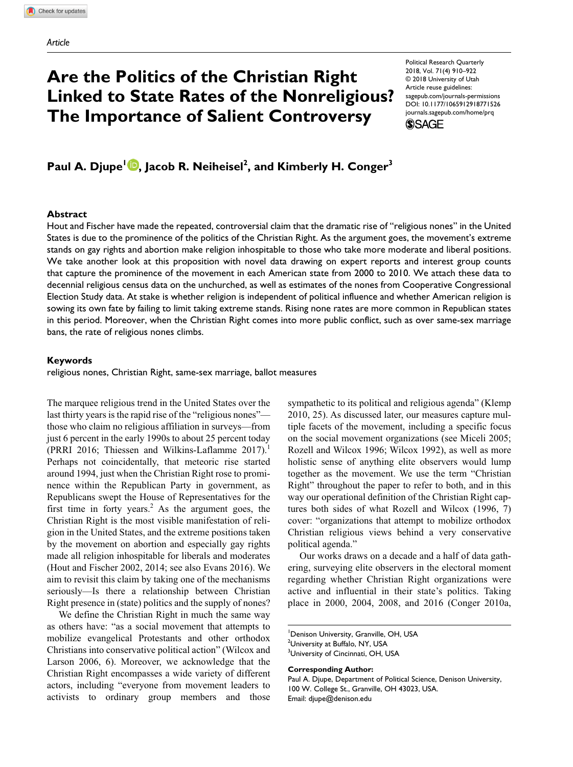# **Are the Politics of the Christian Right Linked to State Rates of the Nonreligious? The Importance of Salient Controversy**

Political Research Quarterly 2018, Vol. 71(4) 910–922 © 2018 University of Utah Article reuse guidelines: [sagepub.com/journals-permissions](https://us.sagepub.com/en-us/journals-permissions) https://doi.org/10.1177/1065912918771526 DOI: 10.1177/1065912918771526 [journals.sagepub.com/home/prq](https://journals.sagepub.com/home/prq) **SSAGE** 

Paul A. Djupe<sup>l (D</sup>, Jacob R. Neiheisel<sup>2</sup>, and Kimberly H. Conger<sup>3</sup>

#### **Abstract**

Hout and Fischer have made the repeated, controversial claim that the dramatic rise of "religious nones" in the United States is due to the prominence of the politics of the Christian Right. As the argument goes, the movement's extreme stands on gay rights and abortion make religion inhospitable to those who take more moderate and liberal positions. We take another look at this proposition with novel data drawing on expert reports and interest group counts that capture the prominence of the movement in each American state from 2000 to 2010. We attach these data to decennial religious census data on the unchurched, as well as estimates of the nones from Cooperative Congressional Election Study data. At stake is whether religion is independent of political influence and whether American religion is sowing its own fate by failing to limit taking extreme stands. Rising none rates are more common in Republican states in this period. Moreover, when the Christian Right comes into more public conflict, such as over same-sex marriage bans, the rate of religious nones climbs.

#### **Keywords**

religious nones, Christian Right, same-sex marriage, ballot measures

The marquee religious trend in the United States over the last thirty years is the rapid rise of the "religious nones" those who claim no religious affiliation in surveys—from just 6 percent in the early 1990s to about 25 percent today (PRRI 2016; Thiessen and Wilkins-Laflamme  $2017$ ).<sup>1</sup> Perhaps not coincidentally, that meteoric rise started around 1994, just when the Christian Right rose to prominence within the Republican Party in government, as Republicans swept the House of Representatives for the first time in forty years.<sup>2</sup> As the argument goes, the Christian Right is the most visible manifestation of religion in the United States, and the extreme positions taken by the movement on abortion and especially gay rights made all religion inhospitable for liberals and moderates (Hout and Fischer 2002, 2014; see also Evans 2016). We aim to revisit this claim by taking one of the mechanisms seriously—Is there a relationship between Christian Right presence in (state) politics and the supply of nones?

We define the Christian Right in much the same way as others have: "as a social movement that attempts to mobilize evangelical Protestants and other orthodox Christians into conservative political action" (Wilcox and Larson 2006, 6). Moreover, we acknowledge that the Christian Right encompasses a wide variety of different actors, including "everyone from movement leaders to activists to ordinary group members and those

sympathetic to its political and religious agenda" (Klemp 2010, 25). As discussed later, our measures capture multiple facets of the movement, including a specific focus on the social movement organizations (see Miceli 2005; Rozell and Wilcox 1996; Wilcox 1992), as well as more holistic sense of anything elite observers would lump together as the movement. We use the term "Christian Right" throughout the paper to refer to both, and in this way our operational definition of the Christian Right captures both sides of what Rozell and Wilcox (1996, 7) cover: "organizations that attempt to mobilize orthodox Christian religious views behind a very conservative political agenda."

Our works draws on a decade and a half of data gathering, surveying elite observers in the electoral moment regarding whether Christian Right organizations were active and influential in their state's politics. Taking place in 2000, 2004, 2008, and 2016 (Conger 2010a,

<sup>1</sup> Denison University, Granville, OH, USA <sup>2</sup>University at Buffalo, NY, USA

<sup>&</sup>lt;sup>3</sup>University of Cincinnati, OH, USA

**Corresponding Author:**

Paul A. Djupe, Department of Political Science, Denison University, 100 W. College St., Granville, OH 43023, USA. Email: [djupe@denison.edu](mailto:djupe@denison.edu)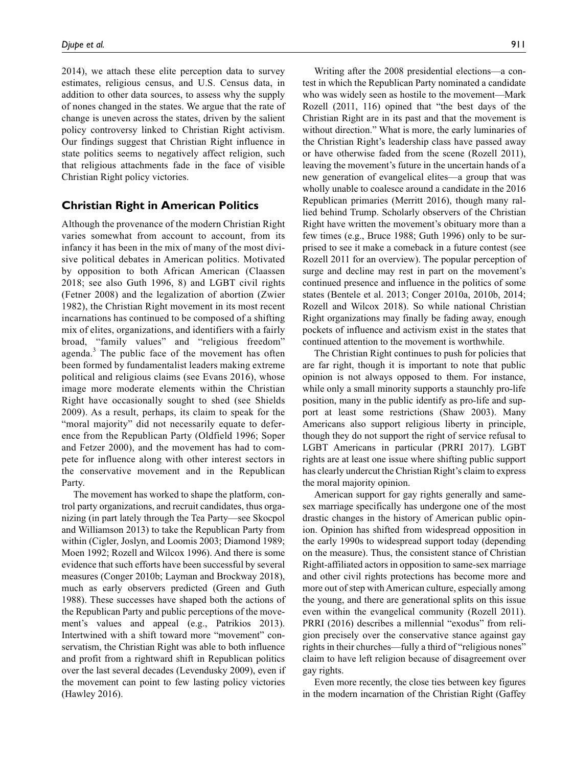2014), we attach these elite perception data to survey estimates, religious census, and U.S. Census data, in addition to other data sources, to assess why the supply of nones changed in the states. We argue that the rate of change is uneven across the states, driven by the salient policy controversy linked to Christian Right activism. Our findings suggest that Christian Right influence in state politics seems to negatively affect religion, such that religious attachments fade in the face of visible Christian Right policy victories.

## **Christian Right in American Politics**

Although the provenance of the modern Christian Right varies somewhat from account to account, from its infancy it has been in the mix of many of the most divisive political debates in American politics. Motivated by opposition to both African American (Claassen 2018; see also Guth 1996, 8) and LGBT civil rights (Fetner 2008) and the legalization of abortion (Zwier 1982), the Christian Right movement in its most recent incarnations has continued to be composed of a shifting mix of elites, organizations, and identifiers with a fairly broad, "family values" and "religious freedom" agenda.<sup>3</sup> The public face of the movement has often been formed by fundamentalist leaders making extreme political and religious claims (see Evans 2016), whose image more moderate elements within the Christian Right have occasionally sought to shed (see Shields 2009). As a result, perhaps, its claim to speak for the "moral majority" did not necessarily equate to deference from the Republican Party (Oldfield 1996; Soper and Fetzer 2000), and the movement has had to compete for influence along with other interest sectors in the conservative movement and in the Republican Party.

The movement has worked to shape the platform, control party organizations, and recruit candidates, thus organizing (in part lately through the Tea Party—see Skocpol and Williamson 2013) to take the Republican Party from within (Cigler, Joslyn, and Loomis 2003; Diamond 1989; Moen 1992; Rozell and Wilcox 1996). And there is some evidence that such efforts have been successful by several measures (Conger 2010b; Layman and Brockway 2018), much as early observers predicted (Green and Guth 1988). These successes have shaped both the actions of the Republican Party and public perceptions of the movement's values and appeal (e.g., Patrikios 2013). Intertwined with a shift toward more "movement" conservatism, the Christian Right was able to both influence and profit from a rightward shift in Republican politics over the last several decades (Levendusky 2009), even if the movement can point to few lasting policy victories (Hawley 2016).

Writing after the 2008 presidential elections—a contest in which the Republican Party nominated a candidate who was widely seen as hostile to the movement—Mark Rozell (2011, 116) opined that "the best days of the Christian Right are in its past and that the movement is without direction." What is more, the early luminaries of the Christian Right's leadership class have passed away or have otherwise faded from the scene (Rozell 2011), leaving the movement's future in the uncertain hands of a new generation of evangelical elites—a group that was wholly unable to coalesce around a candidate in the 2016 Republican primaries (Merritt 2016), though many rallied behind Trump. Scholarly observers of the Christian Right have written the movement's obituary more than a few times (e.g., Bruce 1988; Guth 1996) only to be surprised to see it make a comeback in a future contest (see Rozell 2011 for an overview). The popular perception of surge and decline may rest in part on the movement's continued presence and influence in the politics of some states (Bentele et al. 2013; Conger 2010a, 2010b, 2014; Rozell and Wilcox 2018). So while national Christian Right organizations may finally be fading away, enough pockets of influence and activism exist in the states that continued attention to the movement is worthwhile.

The Christian Right continues to push for policies that are far right, though it is important to note that public opinion is not always opposed to them. For instance, while only a small minority supports a staunchly pro-life position, many in the public identify as pro-life and support at least some restrictions (Shaw 2003). Many Americans also support religious liberty in principle, though they do not support the right of service refusal to LGBT Americans in particular (PRRI 2017). LGBT rights are at least one issue where shifting public support has clearly undercut the Christian Right's claim to express the moral majority opinion.

American support for gay rights generally and samesex marriage specifically has undergone one of the most drastic changes in the history of American public opinion. Opinion has shifted from widespread opposition in the early 1990s to widespread support today (depending on the measure). Thus, the consistent stance of Christian Right-affiliated actors in opposition to same-sex marriage and other civil rights protections has become more and more out of step with American culture, especially among the young, and there are generational splits on this issue even within the evangelical community (Rozell 2011). PRRI (2016) describes a millennial "exodus" from religion precisely over the conservative stance against gay rights in their churches—fully a third of "religious nones" claim to have left religion because of disagreement over gay rights.

Even more recently, the close ties between key figures in the modern incarnation of the Christian Right (Gaffey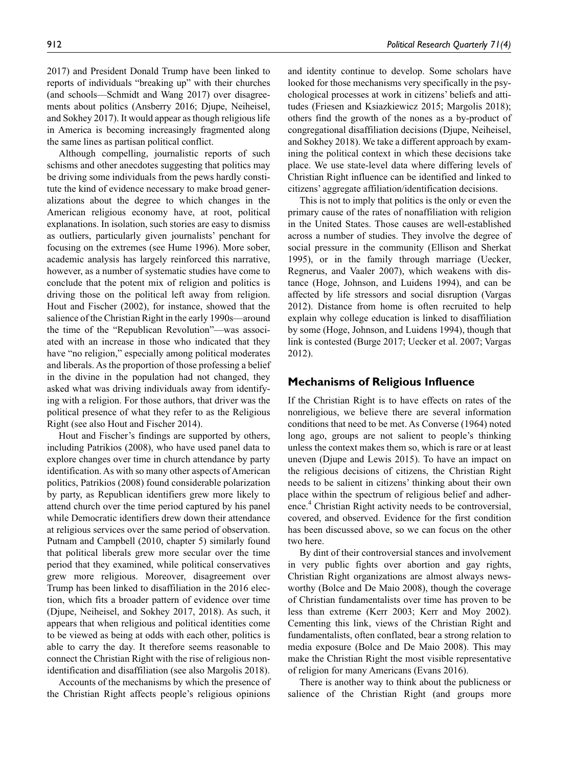2017) and President Donald Trump have been linked to reports of individuals "breaking up" with their churches (and schools—Schmidt and Wang 2017) over disagreements about politics (Ansberry 2016; Djupe, Neiheisel, and Sokhey 2017). It would appear as though religious life in America is becoming increasingly fragmented along the same lines as partisan political conflict.

Although compelling, journalistic reports of such schisms and other anecdotes suggesting that politics may be driving some individuals from the pews hardly constitute the kind of evidence necessary to make broad generalizations about the degree to which changes in the American religious economy have, at root, political explanations. In isolation, such stories are easy to dismiss as outliers, particularly given journalists' penchant for focusing on the extremes (see Hume 1996). More sober, academic analysis has largely reinforced this narrative, however, as a number of systematic studies have come to conclude that the potent mix of religion and politics is driving those on the political left away from religion. Hout and Fischer (2002), for instance, showed that the salience of the Christian Right in the early 1990s—around the time of the "Republican Revolution"—was associated with an increase in those who indicated that they have "no religion," especially among political moderates and liberals. As the proportion of those professing a belief in the divine in the population had not changed, they asked what was driving individuals away from identifying with a religion. For those authors, that driver was the political presence of what they refer to as the Religious Right (see also Hout and Fischer 2014).

Hout and Fischer's findings are supported by others, including Patrikios (2008), who have used panel data to explore changes over time in church attendance by party identification. As with so many other aspects of American politics, Patrikios (2008) found considerable polarization by party, as Republican identifiers grew more likely to attend church over the time period captured by his panel while Democratic identifiers drew down their attendance at religious services over the same period of observation. Putnam and Campbell (2010, chapter 5) similarly found that political liberals grew more secular over the time period that they examined, while political conservatives grew more religious. Moreover, disagreement over Trump has been linked to disaffiliation in the 2016 election, which fits a broader pattern of evidence over time (Djupe, Neiheisel, and Sokhey 2017, 2018). As such, it appears that when religious and political identities come to be viewed as being at odds with each other, politics is able to carry the day. It therefore seems reasonable to connect the Christian Right with the rise of religious nonidentification and disaffiliation (see also Margolis 2018).

Accounts of the mechanisms by which the presence of the Christian Right affects people's religious opinions and identity continue to develop. Some scholars have looked for those mechanisms very specifically in the psychological processes at work in citizens' beliefs and attitudes (Friesen and Ksiazkiewicz 2015; Margolis 2018); others find the growth of the nones as a by-product of congregational disaffiliation decisions (Djupe, Neiheisel, and Sokhey 2018). We take a different approach by examining the political context in which these decisions take place. We use state-level data where differing levels of Christian Right influence can be identified and linked to citizens' aggregate affiliation/identification decisions.

This is not to imply that politics is the only or even the primary cause of the rates of nonaffiliation with religion in the United States. Those causes are well-established across a number of studies. They involve the degree of social pressure in the community (Ellison and Sherkat 1995), or in the family through marriage (Uecker, Regnerus, and Vaaler 2007), which weakens with distance (Hoge, Johnson, and Luidens 1994), and can be affected by life stressors and social disruption (Vargas 2012). Distance from home is often recruited to help explain why college education is linked to disaffiliation by some (Hoge, Johnson, and Luidens 1994), though that link is contested (Burge 2017; Uecker et al. 2007; Vargas 2012).

## **Mechanisms of Religious Influence**

If the Christian Right is to have effects on rates of the nonreligious, we believe there are several information conditions that need to be met. As Converse (1964) noted long ago, groups are not salient to people's thinking unless the context makes them so, which is rare or at least uneven (Djupe and Lewis 2015). To have an impact on the religious decisions of citizens, the Christian Right needs to be salient in citizens' thinking about their own place within the spectrum of religious belief and adherence.<sup>4</sup> Christian Right activity needs to be controversial, covered, and observed. Evidence for the first condition has been discussed above, so we can focus on the other two here.

By dint of their controversial stances and involvement in very public fights over abortion and gay rights, Christian Right organizations are almost always newsworthy (Bolce and De Maio 2008), though the coverage of Christian fundamentalists over time has proven to be less than extreme (Kerr 2003; Kerr and Moy 2002). Cementing this link, views of the Christian Right and fundamentalists, often conflated, bear a strong relation to media exposure (Bolce and De Maio 2008). This may make the Christian Right the most visible representative of religion for many Americans (Evans 2016).

There is another way to think about the publicness or salience of the Christian Right (and groups more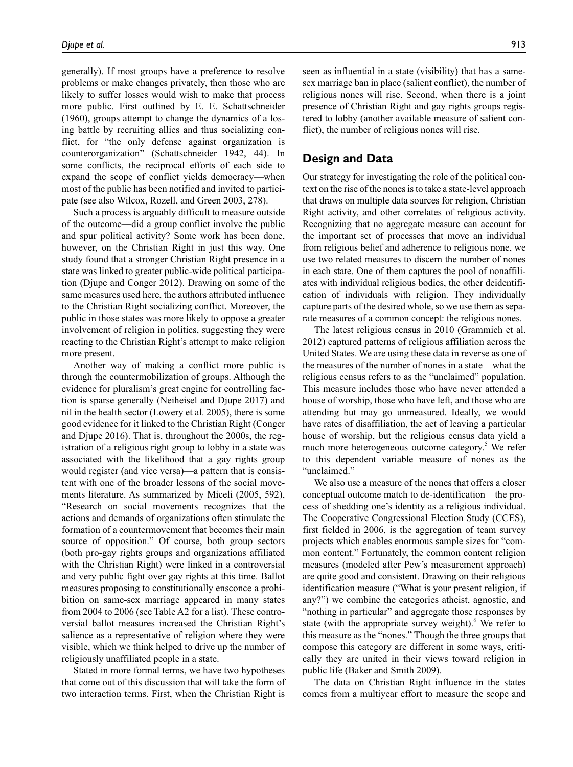generally). If most groups have a preference to resolve problems or make changes privately, then those who are likely to suffer losses would wish to make that process more public. First outlined by E. E. Schattschneider (1960), groups attempt to change the dynamics of a losing battle by recruiting allies and thus socializing conflict, for "the only defense against organization is counterorganization" (Schattschneider 1942, 44). In some conflicts, the reciprocal efforts of each side to expand the scope of conflict yields democracy—when most of the public has been notified and invited to participate (see also Wilcox, Rozell, and Green 2003, 278).

Such a process is arguably difficult to measure outside of the outcome—did a group conflict involve the public and spur political activity? Some work has been done, however, on the Christian Right in just this way. One study found that a stronger Christian Right presence in a state was linked to greater public-wide political participation (Djupe and Conger 2012). Drawing on some of the same measures used here, the authors attributed influence to the Christian Right socializing conflict. Moreover, the public in those states was more likely to oppose a greater involvement of religion in politics, suggesting they were reacting to the Christian Right's attempt to make religion more present.

Another way of making a conflict more public is through the countermobilization of groups. Although the evidence for pluralism's great engine for controlling faction is sparse generally (Neiheisel and Djupe 2017) and nil in the health sector (Lowery et al. 2005), there is some good evidence for it linked to the Christian Right (Conger and Djupe 2016). That is, throughout the 2000s, the registration of a religious right group to lobby in a state was associated with the likelihood that a gay rights group would register (and vice versa)—a pattern that is consistent with one of the broader lessons of the social movements literature. As summarized by Miceli (2005, 592), "Research on social movements recognizes that the actions and demands of organizations often stimulate the formation of a countermovement that becomes their main source of opposition." Of course, both group sectors (both pro-gay rights groups and organizations affiliated with the Christian Right) were linked in a controversial and very public fight over gay rights at this time. Ballot measures proposing to constitutionally ensconce a prohibition on same-sex marriage appeared in many states from 2004 to 2006 (see Table A2 for a list). These controversial ballot measures increased the Christian Right's salience as a representative of religion where they were visible, which we think helped to drive up the number of religiously unaffiliated people in a state.

Stated in more formal terms, we have two hypotheses that come out of this discussion that will take the form of two interaction terms. First, when the Christian Right is

seen as influential in a state (visibility) that has a samesex marriage ban in place (salient conflict), the number of religious nones will rise. Second, when there is a joint presence of Christian Right and gay rights groups registered to lobby (another available measure of salient conflict), the number of religious nones will rise.

## **Design and Data**

Our strategy for investigating the role of the political context on the rise of the nones is to take a state-level approach that draws on multiple data sources for religion, Christian Right activity, and other correlates of religious activity. Recognizing that no aggregate measure can account for the important set of processes that move an individual from religious belief and adherence to religious none, we use two related measures to discern the number of nones in each state. One of them captures the pool of nonaffiliates with individual religious bodies, the other deidentification of individuals with religion. They individually capture parts of the desired whole, so we use them as separate measures of a common concept: the religious nones.

The latest religious census in 2010 (Grammich et al. 2012) captured patterns of religious affiliation across the United States. We are using these data in reverse as one of the measures of the number of nones in a state—what the religious census refers to as the "unclaimed" population. This measure includes those who have never attended a house of worship, those who have left, and those who are attending but may go unmeasured. Ideally, we would have rates of disaffiliation, the act of leaving a particular house of worship, but the religious census data yield a much more heterogeneous outcome category.<sup>5</sup> We refer to this dependent variable measure of nones as the "unclaimed."

We also use a measure of the nones that offers a closer conceptual outcome match to de-identification—the process of shedding one's identity as a religious individual. The Cooperative Congressional Election Study (CCES), first fielded in 2006, is the aggregation of team survey projects which enables enormous sample sizes for "common content." Fortunately, the common content religion measures (modeled after Pew's measurement approach) are quite good and consistent. Drawing on their religious identification measure ("What is your present religion, if any?") we combine the categories atheist, agnostic, and "nothing in particular" and aggregate those responses by state (with the appropriate survey weight). $6$  We refer to this measure as the "nones." Though the three groups that compose this category are different in some ways, critically they are united in their views toward religion in public life (Baker and Smith 2009).

The data on Christian Right influence in the states comes from a multiyear effort to measure the scope and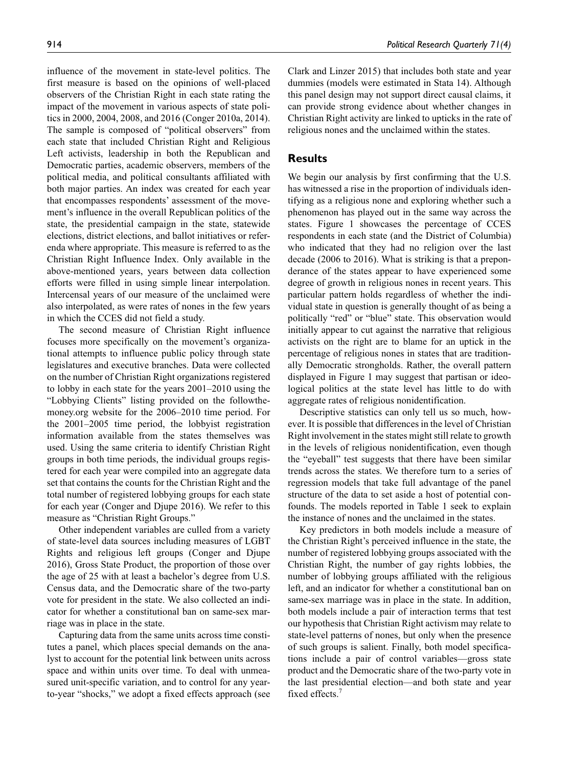influence of the movement in state-level politics. The first measure is based on the opinions of well-placed observers of the Christian Right in each state rating the impact of the movement in various aspects of state politics in 2000, 2004, 2008, and 2016 (Conger 2010a, 2014). The sample is composed of "political observers" from each state that included Christian Right and Religious Left activists, leadership in both the Republican and Democratic parties, academic observers, members of the political media, and political consultants affiliated with both major parties. An index was created for each year that encompasses respondents' assessment of the movement's influence in the overall Republican politics of the state, the presidential campaign in the state, statewide elections, district elections, and ballot initiatives or referenda where appropriate. This measure is referred to as the Christian Right Influence Index. Only available in the above-mentioned years, years between data collection efforts were filled in using simple linear interpolation. Intercensal years of our measure of the unclaimed were also interpolated, as were rates of nones in the few years in which the CCES did not field a study.

The second measure of Christian Right influence focuses more specifically on the movement's organizational attempts to influence public policy through state legislatures and executive branches. Data were collected on the number of Christian Right organizations registered to lobby in each state for the years 2001–2010 using the "Lobbying Clients" listing provided on the followthemoney.org website for the 2006–2010 time period. For the 2001–2005 time period, the lobbyist registration information available from the states themselves was used. Using the same criteria to identify Christian Right groups in both time periods, the individual groups registered for each year were compiled into an aggregate data set that contains the counts for the Christian Right and the total number of registered lobbying groups for each state for each year (Conger and Djupe 2016). We refer to this measure as "Christian Right Groups."

Other independent variables are culled from a variety of state-level data sources including measures of LGBT Rights and religious left groups (Conger and Djupe 2016), Gross State Product, the proportion of those over the age of 25 with at least a bachelor's degree from U.S. Census data, and the Democratic share of the two-party vote for president in the state. We also collected an indicator for whether a constitutional ban on same-sex marriage was in place in the state.

Capturing data from the same units across time constitutes a panel, which places special demands on the analyst to account for the potential link between units across space and within units over time. To deal with unmeasured unit-specific variation, and to control for any yearto-year "shocks," we adopt a fixed effects approach (see Clark and Linzer 2015) that includes both state and year dummies (models were estimated in Stata 14). Although this panel design may not support direct causal claims, it can provide strong evidence about whether changes in Christian Right activity are linked to upticks in the rate of religious nones and the unclaimed within the states.

## **Results**

We begin our analysis by first confirming that the U.S. has witnessed a rise in the proportion of individuals identifying as a religious none and exploring whether such a phenomenon has played out in the same way across the states. Figure 1 showcases the percentage of CCES respondents in each state (and the District of Columbia) who indicated that they had no religion over the last decade (2006 to 2016). What is striking is that a preponderance of the states appear to have experienced some degree of growth in religious nones in recent years. This particular pattern holds regardless of whether the individual state in question is generally thought of as being a politically "red" or "blue" state. This observation would initially appear to cut against the narrative that religious activists on the right are to blame for an uptick in the percentage of religious nones in states that are traditionally Democratic strongholds. Rather, the overall pattern displayed in Figure 1 may suggest that partisan or ideological politics at the state level has little to do with aggregate rates of religious nonidentification.

Descriptive statistics can only tell us so much, however. It is possible that differences in the level of Christian Right involvement in the states might still relate to growth in the levels of religious nonidentification, even though the "eyeball" test suggests that there have been similar trends across the states. We therefore turn to a series of regression models that take full advantage of the panel structure of the data to set aside a host of potential confounds. The models reported in Table 1 seek to explain the instance of nones and the unclaimed in the states.

Key predictors in both models include a measure of the Christian Right's perceived influence in the state, the number of registered lobbying groups associated with the Christian Right, the number of gay rights lobbies, the number of lobbying groups affiliated with the religious left, and an indicator for whether a constitutional ban on same-sex marriage was in place in the state. In addition, both models include a pair of interaction terms that test our hypothesis that Christian Right activism may relate to state-level patterns of nones, but only when the presence of such groups is salient. Finally, both model specifications include a pair of control variables—gross state product and the Democratic share of the two-party vote in the last presidential election—and both state and year fixed effects.<sup>7</sup>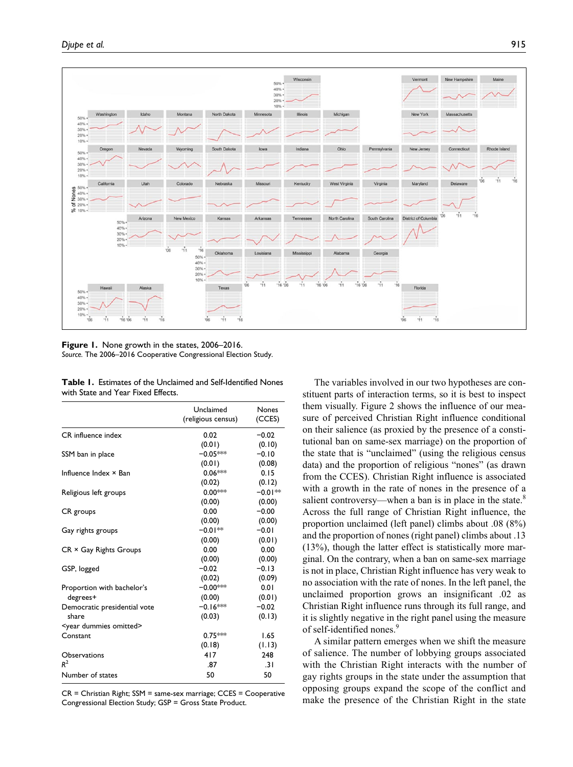

**Figure 1.** None growth in the states, 2006–2016. *Source.* The 2006–2016 Cooperative Congressional Election Study.

**Table 1.** Estimates of the Unclaimed and Self-Identified Nones with State and Year Fixed Effects.

|                                     | Unclaimed<br>(religious census) | <b>Nones</b><br>(CCES) |
|-------------------------------------|---------------------------------|------------------------|
| CR influence index                  | 0.02                            | $-0.02$                |
|                                     | (0.01)                          | (0.10)                 |
| SSM ban in place                    | $-0.05***$                      | $-0.10$                |
|                                     | (0.01)                          | (0.08)                 |
| Influence Index × Ban               | $0.06***$                       | 0.15                   |
|                                     | (0.02)                          | (0.12)                 |
| Religious left groups               | $0.00***$                       | $-0.01**$              |
|                                     | (0.00)                          | (0.00)                 |
| CR groups                           | 0.00                            | $-0.00$                |
|                                     | (0.00)                          | (0.00)                 |
| Gay rights groups                   | $-0.01**$                       | $-0.01$                |
|                                     | (0.00)                          | (0.01)                 |
| CR × Gay Rights Groups              | 0.00                            | 0.00                   |
|                                     | (0.00)                          | (0.00)                 |
| GSP, logged                         | $-0.02$                         | $-0.13$                |
|                                     | (0.02)                          | (0.09)                 |
| Proportion with bachelor's          | $-0.00***$                      | 0.01                   |
| degrees+                            | (0.00)                          | (0.01)                 |
| Democratic presidential vote        | $-0.16***$                      | $-0.02$                |
| share                               | (0.03)                          | (0.13)                 |
| <year dummies="" omitted=""></year> |                                 |                        |
| Constant                            | $0.75***$                       | 1.65                   |
|                                     | (0.18)                          | (1.13)                 |
| <b>Observations</b>                 | 417                             | 248                    |
| $R^2$                               | .87                             | $\overline{31}$        |
| Number of states                    | 50                              | 50                     |

CR = Christian Right; SSM = same-sex marriage; CCES = Cooperative Congressional Election Study; GSP = Gross State Product.

The variables involved in our two hypotheses are constituent parts of interaction terms, so it is best to inspect them visually. Figure 2 shows the influence of our measure of perceived Christian Right influence conditional on their salience (as proxied by the presence of a constitutional ban on same-sex marriage) on the proportion of the state that is "unclaimed" (using the religious census data) and the proportion of religious "nones" (as drawn from the CCES). Christian Right influence is associated with a growth in the rate of nones in the presence of a salient controversy—when a ban is in place in the state.<sup>8</sup> Across the full range of Christian Right influence, the proportion unclaimed (left panel) climbs about .08 (8%) and the proportion of nones (right panel) climbs about .13 (13%), though the latter effect is statistically more marginal. On the contrary, when a ban on same-sex marriage is not in place, Christian Right influence has very weak to no association with the rate of nones. In the left panel, the unclaimed proportion grows an insignificant .02 as Christian Right influence runs through its full range, and it is slightly negative in the right panel using the measure of self-identified nones.<sup>9</sup>

A similar pattern emerges when we shift the measure of salience. The number of lobbying groups associated with the Christian Right interacts with the number of gay rights groups in the state under the assumption that opposing groups expand the scope of the conflict and make the presence of the Christian Right in the state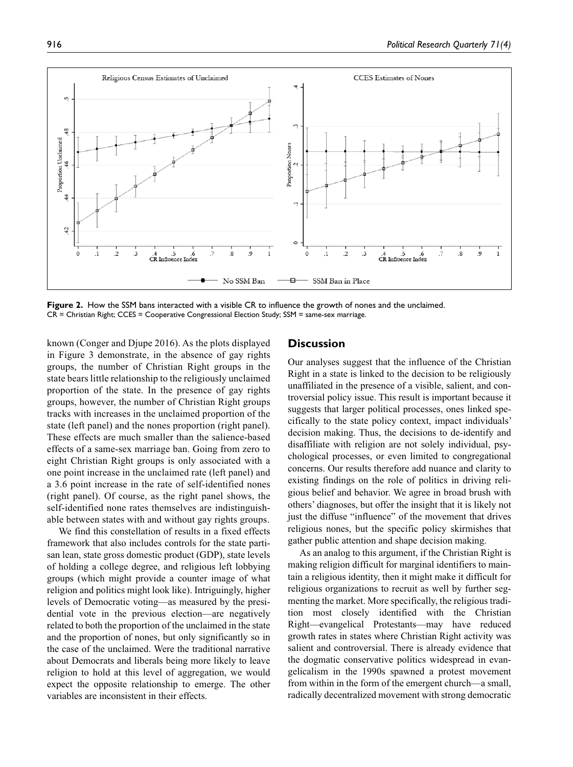

**Figure 2.** How the SSM bans interacted with a visible CR to influence the growth of nones and the unclaimed. CR = Christian Right; CCES = Cooperative Congressional Election Study; SSM = same-sex marriage.

known (Conger and Djupe 2016). As the plots displayed in Figure 3 demonstrate, in the absence of gay rights groups, the number of Christian Right groups in the state bears little relationship to the religiously unclaimed proportion of the state. In the presence of gay rights groups, however, the number of Christian Right groups tracks with increases in the unclaimed proportion of the state (left panel) and the nones proportion (right panel). These effects are much smaller than the salience-based effects of a same-sex marriage ban. Going from zero to eight Christian Right groups is only associated with a one point increase in the unclaimed rate (left panel) and a 3.6 point increase in the rate of self-identified nones (right panel). Of course, as the right panel shows, the self-identified none rates themselves are indistinguishable between states with and without gay rights groups.

We find this constellation of results in a fixed effects framework that also includes controls for the state partisan lean, state gross domestic product (GDP), state levels of holding a college degree, and religious left lobbying groups (which might provide a counter image of what religion and politics might look like). Intriguingly, higher levels of Democratic voting—as measured by the presidential vote in the previous election—are negatively related to both the proportion of the unclaimed in the state and the proportion of nones, but only significantly so in the case of the unclaimed. Were the traditional narrative about Democrats and liberals being more likely to leave religion to hold at this level of aggregation, we would expect the opposite relationship to emerge. The other variables are inconsistent in their effects.

## **Discussion**

Our analyses suggest that the influence of the Christian Right in a state is linked to the decision to be religiously unaffiliated in the presence of a visible, salient, and controversial policy issue. This result is important because it suggests that larger political processes, ones linked specifically to the state policy context, impact individuals' decision making. Thus, the decisions to de-identify and disaffiliate with religion are not solely individual, psychological processes, or even limited to congregational concerns. Our results therefore add nuance and clarity to existing findings on the role of politics in driving religious belief and behavior. We agree in broad brush with others' diagnoses, but offer the insight that it is likely not just the diffuse "influence" of the movement that drives religious nones, but the specific policy skirmishes that gather public attention and shape decision making.

As an analog to this argument, if the Christian Right is making religion difficult for marginal identifiers to maintain a religious identity, then it might make it difficult for religious organizations to recruit as well by further segmenting the market. More specifically, the religious tradition most closely identified with the Christian Right—evangelical Protestants—may have reduced growth rates in states where Christian Right activity was salient and controversial. There is already evidence that the dogmatic conservative politics widespread in evangelicalism in the 1990s spawned a protest movement from within in the form of the emergent church—a small, radically decentralized movement with strong democratic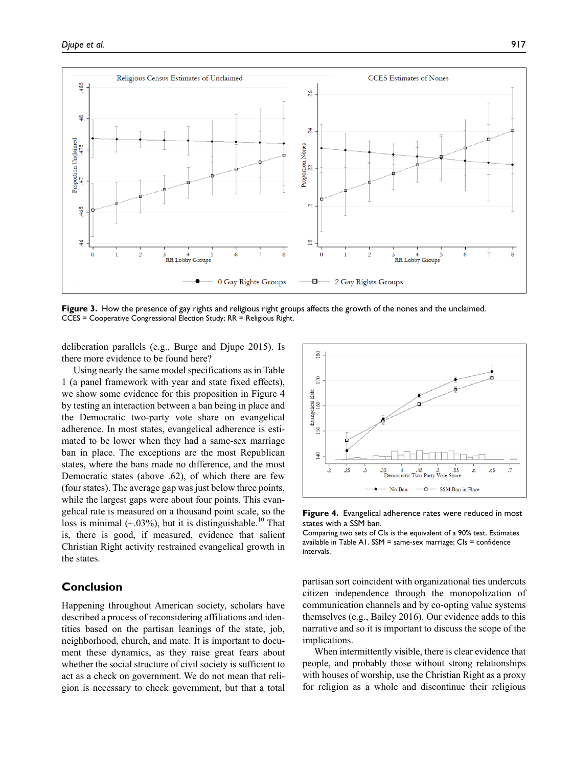

Figure 3. How the presence of gay rights and religious right groups affects the growth of the nones and the unclaimed. CCES = Cooperative Congressional Election Study; RR = Religious Right.

deliberation parallels (e.g., Burge and Djupe 2015). Is there more evidence to be found here?

Using nearly the same model specifications as in Table 1 (a panel framework with year and state fixed effects), we show some evidence for this proposition in Figure 4 by testing an interaction between a ban being in place and the Democratic two-party vote share on evangelical adherence. In most states, evangelical adherence is estimated to be lower when they had a same-sex marriage ban in place. The exceptions are the most Republican states, where the bans made no difference, and the most Democratic states (above .62), of which there are few (four states). The average gap was just below three points, while the largest gaps were about four points. This evangelical rate is measured on a thousand point scale, so the loss is minimal  $(\sim 0.03\%)$ , but it is distinguishable.<sup>10</sup> That is, there is good, if measured, evidence that salient Christian Right activity restrained evangelical growth in the states.

# **Conclusion**

Happening throughout American society, scholars have described a process of reconsidering affiliations and identities based on the partisan leanings of the state, job, neighborhood, church, and mate. It is important to document these dynamics, as they raise great fears about whether the social structure of civil society is sufficient to act as a check on government. We do not mean that religion is necessary to check government, but that a total



**Figure 4.** Evangelical adherence rates were reduced in most states with a SSM ban.

Comparing two sets of CIs is the equivalent of a 90% test. Estimates available in Table A1. SSM = same-sex marriage; CIs = confidence intervals.

partisan sort coincident with organizational ties undercuts citizen independence through the monopolization of communication channels and by co-opting value systems themselves (e.g., Bailey 2016). Our evidence adds to this narrative and so it is important to discuss the scope of the implications.

When intermittently visible, there is clear evidence that people, and probably those without strong relationships with houses of worship, use the Christian Right as a proxy for religion as a whole and discontinue their religious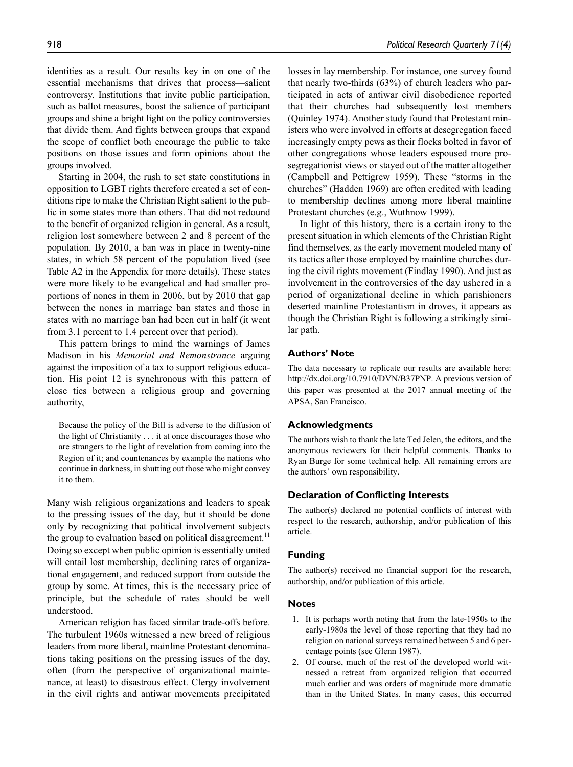identities as a result. Our results key in on one of the essential mechanisms that drives that process—salient controversy. Institutions that invite public participation, such as ballot measures, boost the salience of participant groups and shine a bright light on the policy controversies that divide them. And fights between groups that expand the scope of conflict both encourage the public to take positions on those issues and form opinions about the groups involved.

Starting in 2004, the rush to set state constitutions in opposition to LGBT rights therefore created a set of conditions ripe to make the Christian Right salient to the public in some states more than others. That did not redound to the benefit of organized religion in general. As a result, religion lost somewhere between 2 and 8 percent of the population. By 2010, a ban was in place in twenty-nine states, in which 58 percent of the population lived (see Table A2 in the Appendix for more details). These states were more likely to be evangelical and had smaller proportions of nones in them in 2006, but by 2010 that gap between the nones in marriage ban states and those in states with no marriage ban had been cut in half (it went from 3.1 percent to 1.4 percent over that period).

This pattern brings to mind the warnings of James Madison in his *Memorial and Remonstrance* arguing against the imposition of a tax to support religious education. His point 12 is synchronous with this pattern of close ties between a religious group and governing authority,

Because the policy of the Bill is adverse to the diffusion of the light of Christianity . . . it at once discourages those who are strangers to the light of revelation from coming into the Region of it; and countenances by example the nations who continue in darkness, in shutting out those who might convey it to them.

Many wish religious organizations and leaders to speak to the pressing issues of the day, but it should be done only by recognizing that political involvement subjects the group to evaluation based on political disagreement.<sup>11</sup> Doing so except when public opinion is essentially united will entail lost membership, declining rates of organizational engagement, and reduced support from outside the group by some. At times, this is the necessary price of principle, but the schedule of rates should be well understood.

American religion has faced similar trade-offs before. The turbulent 1960s witnessed a new breed of religious leaders from more liberal, mainline Protestant denominations taking positions on the pressing issues of the day, often (from the perspective of organizational maintenance, at least) to disastrous effect. Clergy involvement in the civil rights and antiwar movements precipitated losses in lay membership. For instance, one survey found that nearly two-thirds (63%) of church leaders who participated in acts of antiwar civil disobedience reported that their churches had subsequently lost members (Quinley 1974). Another study found that Protestant ministers who were involved in efforts at desegregation faced increasingly empty pews as their flocks bolted in favor of other congregations whose leaders espoused more prosegregationist views or stayed out of the matter altogether (Campbell and Pettigrew 1959). These "storms in the churches" (Hadden 1969) are often credited with leading to membership declines among more liberal mainline Protestant churches (e.g., Wuthnow 1999).

In light of this history, there is a certain irony to the present situation in which elements of the Christian Right find themselves, as the early movement modeled many of its tactics after those employed by mainline churches during the civil rights movement (Findlay 1990). And just as involvement in the controversies of the day ushered in a period of organizational decline in which parishioners deserted mainline Protestantism in droves, it appears as though the Christian Right is following a strikingly similar path.

## **Authors' Note**

The data necessary to replicate our results are available here: <http://dx.doi.org/10.7910/DVN/B37PNP>. A previous version of this paper was presented at the 2017 annual meeting of the APSA, San Francisco.

## **Acknowledgments**

The authors wish to thank the late Ted Jelen, the editors, and the anonymous reviewers for their helpful comments. Thanks to Ryan Burge for some technical help. All remaining errors are the authors' own responsibility.

#### **Declaration of Conflicting Interests**

The author(s) declared no potential conflicts of interest with respect to the research, authorship, and/or publication of this article.

#### **Funding**

The author(s) received no financial support for the research, authorship, and/or publication of this article.

#### **Notes**

- 1. It is perhaps worth noting that from the late-1950s to the early-1980s the level of those reporting that they had no religion on national surveys remained between 5 and 6 percentage points (see Glenn 1987).
- 2. Of course, much of the rest of the developed world witnessed a retreat from organized religion that occurred much earlier and was orders of magnitude more dramatic than in the United States. In many cases, this occurred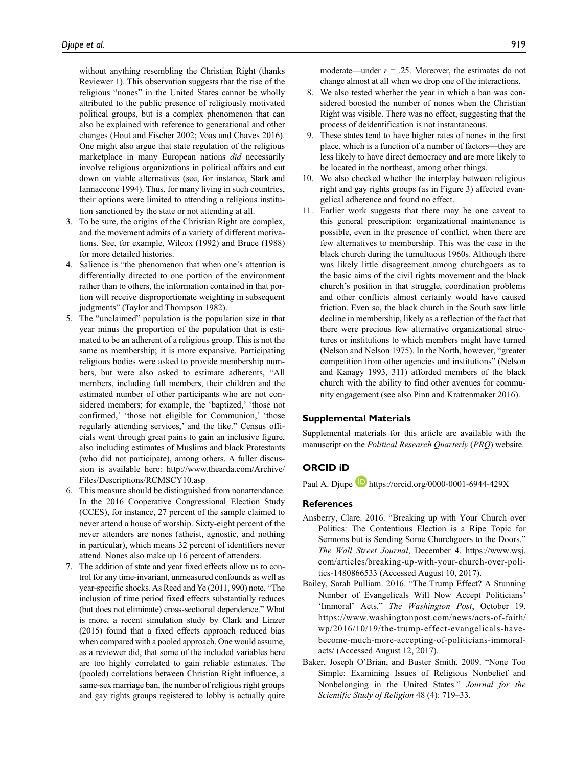without anything resembling the Christian Right (thanks Reviewer 1). This observation suggests that the rise of the religious "nones" in the United States cannot be wholly attributed to the public presence of religiously motivated political groups, but is a complex phenomenon that can also be explained with reference to generational and other changes (Hout and Fischer 2002; Voas and Chaves 2016). One might also argue that state regulation of the religious marketplace in many European nations *did* necessarily involve religious organizations in political affairs and cut down on viable alternatives (see, for instance, Stark and Iannaccone 1994). Thus, for many living in such countries, their options were limited to attending a religious institution sanctioned by the state or not attending at all.

- 3. To be sure, the origins of the Christian Right are complex, and the movement admits of a variety of different motivations. See, for example, Wilcox (1992) and Bruce (1988) for more detailed histories.
- 4. Salience is "the phenomenon that when one's attention is differentially directed to one portion of the environment rather than to others, the information contained in that portion will receive disproportionate weighting in subsequent judgments" (Taylor and Thompson 1982).
- 5. The "unclaimed" population is the population size in that year minus the proportion of the population that is estimated to be an adherent of a religious group. This is not the same as membership; it is more expansive. Participating religious bodies were asked to provide membership numbers, but were also asked to estimate adherents, "All members, including full members, their children and the estimated number of other participants who are not considered members; for example, the 'baptized,' 'those not confirmed,' 'those not eligible for Communion,' 'those regularly attending services,' and the like." Census officials went through great pains to gain an inclusive figure, also including estimates of Muslims and black Protestants (who did not participate), among others. A fuller discussion is available here: [http://www.thearda.com/Archive/](http://www.thearda.com/Archive/Files/Descriptions/RCMSCY10.asp) [Files/Descriptions/RCMSCY10.asp](http://www.thearda.com/Archive/Files/Descriptions/RCMSCY10.asp)
- 6. This measure should be distinguished from nonattendance. In the 2016 Cooperative Congressional Election Study (CCES), for instance, 27 percent of the sample claimed to never attend a house of worship. Sixty-eight percent of the never attenders are nones (atheist, agnostic, and nothing in particular), which means 32 percent of identifiers never attend. Nones also make up 16 percent of attenders.
- 7. The addition of state and year fixed effects allow us to control for any time-invariant, unmeasured confounds as well as year-specific shocks. As Reed and Ye (2011, 990) note, "The inclusion of time period fixed effects substantially reduces (but does not eliminate) cross-sectional dependence." What is more, a recent simulation study by Clark and Linzer (2015) found that a fixed effects approach reduced bias when compared with a pooled approach. One would assume, as a reviewer did, that some of the included variables here are too highly correlated to gain reliable estimates. The (pooled) correlations between Christian Right influence, a same-sex marriage ban, the number of religious right groups and gay rights groups registered to lobby is actually quite

moderate—under  $r = 0.25$ . Moreover, the estimates do not change almost at all when we drop one of the interactions.

- 8. We also tested whether the year in which a ban was considered boosted the number of nones when the Christian Right was visible. There was no effect, suggesting that the process of deidentification is not instantaneous.
- 9. These states tend to have higher rates of nones in the first place, which is a function of a number of factors—they are less likely to have direct democracy and are more likely to be located in the northeast, among other things.
- 10. We also checked whether the interplay between religious right and gay rights groups (as in Figure 3) affected evangelical adherence and found no effect.
- 11. Earlier work suggests that there may be one caveat to this general prescription: organizational maintenance is possible, even in the presence of conflict, when there are few alternatives to membership. This was the case in the black church during the tumultuous 1960s. Although there was likely little disagreement among churchgoers as to the basic aims of the civil rights movement and the black church's position in that struggle, coordination problems and other conflicts almost certainly would have caused friction. Even so, the black church in the South saw little decline in membership, likely as a reflection of the fact that there were precious few alternative organizational structures or institutions to which members might have turned (Nelson and Nelson 1975). In the North, however, "greater competition from other agencies and institutions" (Nelson and Kanagy 1993, 311) afforded members of the black church with the ability to find other avenues for community engagement (see also Pinn and Krattenmaker 2016).

#### **Supplemental Materials**

Supplemental materials for this article are available with the manuscript on the *Political Research Quarterly* (*PRQ*) website.

# **ORCID iD**

Paul A. Djupe **D** <https://orcid.org/0000-0001-6944-429X>

#### **References**

- Ansberry, Clare. 2016. "Breaking up with Your Church over Politics: The Contentious Election is a Ripe Topic for Sermons but is Sending Some Churchgoers to the Doors." *The Wall Street Journal*, December 4. [https://www.wsj.](https://www.wsj.com/articles/breaking-up-with-your-church-over-politics-1480866533) [com/articles/breaking-up-with-your-church-over-poli](https://www.wsj.com/articles/breaking-up-with-your-church-over-politics-1480866533)[tics-1480866533](https://www.wsj.com/articles/breaking-up-with-your-church-over-politics-1480866533) (Accessed August 10, 2017).
- Bailey, Sarah Pulliam. 2016. "The Trump Effect? A Stunning Number of Evangelicals Will Now Accept Politicians' 'Immoral' Acts." *The Washington Post*, October 19. [https://www.washingtonpost.com/news/acts-of-faith/](https://www.washingtonpost.com/news/acts-of-faith/wp/2016/10/19/the-trump-effect-evangelicals-have-become-much-more-accepting-of-politicians-immoral-acts/) [wp/2016/10/19/the-trump-effect-evangelicals-have](https://www.washingtonpost.com/news/acts-of-faith/wp/2016/10/19/the-trump-effect-evangelicals-have-become-much-more-accepting-of-politicians-immoral-acts/)[become-much-more-accepting-of-politicians-immoral](https://www.washingtonpost.com/news/acts-of-faith/wp/2016/10/19/the-trump-effect-evangelicals-have-become-much-more-accepting-of-politicians-immoral-acts/)[acts/](https://www.washingtonpost.com/news/acts-of-faith/wp/2016/10/19/the-trump-effect-evangelicals-have-become-much-more-accepting-of-politicians-immoral-acts/) (Accessed August 12, 2017).
- Baker, Joseph O'Brian, and Buster Smith. 2009. "None Too Simple: Examining Issues of Religious Nonbelief and Nonbelonging in the United States." *Journal for the Scientific Study of Religion* 48 (4): 719–33.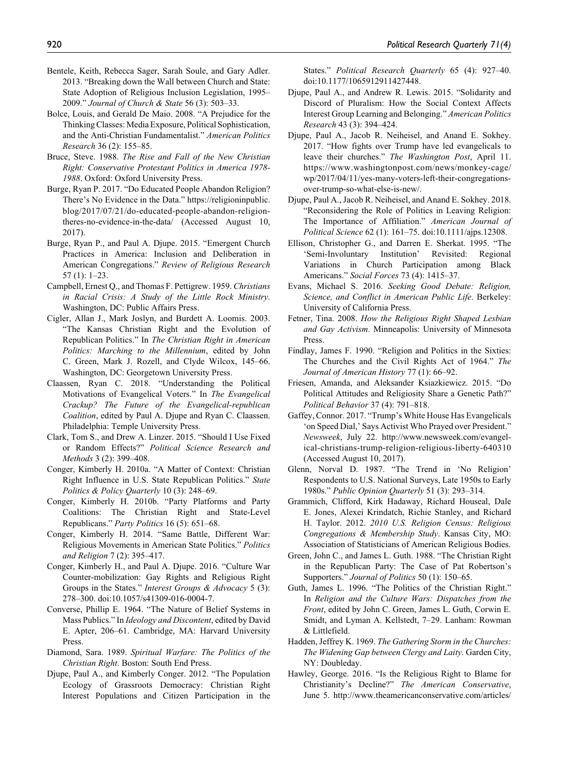- Bentele, Keith, Rebecca Sager, Sarah Soule, and Gary Adler. 2013. "Breaking down the Wall between Church and State: State Adoption of Religious Inclusion Legislation, 1995– 2009." *Journal of Church & State* 56 (3): 503–33.
- Bolce, Louis, and Gerald De Maio. 2008. "A Prejudice for the Thinking Classes: Media Exposure, Political Sophistication, and the Anti-Christian Fundamentalist." *American Politics Research* 36 (2): 155–85.
- Bruce, Steve. 1988. *The Rise and Fall of the New Christian Right: Conservative Protestant Politics in America 1978- 1988*. Oxford: Oxford University Press.
- Burge, Ryan P. 2017. "Do Educated People Abandon Religion? There's No Evidence in the Data." [https://religioninpublic.](https://religioninpublic.blog/2017/07/21/do-educated-people-abandon-religion-theres-no-evidence-in-the-data/) [blog/2017/07/21/do-educated-people-abandon-religion](https://religioninpublic.blog/2017/07/21/do-educated-people-abandon-religion-theres-no-evidence-in-the-data/)[theres-no-evidence-in-the-data/](https://religioninpublic.blog/2017/07/21/do-educated-people-abandon-religion-theres-no-evidence-in-the-data/) (Accessed August 10, 2017).
- Burge, Ryan P., and Paul A. Djupe. 2015. "Emergent Church Practices in America: Inclusion and Deliberation in American Congregations." *Review of Religious Research* 57 (1): 1–23.
- Campbell, Ernest Q., and Thomas F. Pettigrew. 1959. *Christians in Racial Crisis: A Study of the Little Rock Ministry*. Washington, DC: Public Affairs Press.
- Cigler, Allan J., Mark Joslyn, and Burdett A. Loomis. 2003. "The Kansas Christian Right and the Evolution of Republican Politics." In *The Christian Right in American Politics: Marching to the Millennium*, edited by John C. Green, Mark J. Rozell, and Clyde Wilcox, 145–66. Washington, DC: Georgetown University Press.
- Claassen, Ryan C. 2018. "Understanding the Political Motivations of Evangelical Voters." In *The Evangelical Crackup? The Future of the Evangelical-republican Coalition*, edited by Paul A. Djupe and Ryan C. Claassen. Philadelphia: Temple University Press.
- Clark, Tom S., and Drew A. Linzer. 2015. "Should I Use Fixed or Random Effects?" *Political Science Research and Methods* 3 (2): 399–408.
- Conger, Kimberly H. 2010a. "A Matter of Context: Christian Right Influence in U.S. State Republican Politics." *State Politics & Policy Quarterly* 10 (3): 248–69.
- Conger, Kimberly H. 2010b. "Party Platforms and Party Coalitions: The Christian Right and State-Level Republicans." *Party Politics* 16 (5): 651–68.
- Conger, Kimberly H. 2014. "Same Battle, Different War: Religious Movements in American State Politics." *Politics and Religion* 7 (2): 395–417.
- Conger, Kimberly H., and Paul A. Djupe. 2016. "Culture War Counter-mobilization: Gay Rights and Religious Right Groups in the States." *Interest Groups & Advocacy* 5 (3): 278–300. doi:10.1057/s41309-016-0004-7.
- Converse, Phillip E. 1964. "The Nature of Belief Systems in Mass Publics." In *Ideology and Discontent*, edited by David E. Apter, 206–61. Cambridge, MA: Harvard University Press.
- Diamond, Sara. 1989. *Spiritual Warfare: The Politics of the Christian Right*. Boston: South End Press.
- Djupe, Paul A., and Kimberly Conger. 2012. "The Population Ecology of Grassroots Democracy: Christian Right Interest Populations and Citizen Participation in the

States." *Political Research Quarterly* 65 (4): 927–40. doi:10.1177/1065912911427448.

- Djupe, Paul A., and Andrew R. Lewis. 2015. "Solidarity and Discord of Pluralism: How the Social Context Affects Interest Group Learning and Belonging." *American Politics Research* 43 (3): 394–424.
- Djupe, Paul A., Jacob R. Neiheisel, and Anand E. Sokhey. 2017. "How fights over Trump have led evangelicals to leave their churches." *The Washington Post*, April 11. [https://www.washingtonpost.com/news/monkey-cage/](https://www.washingtonpost.com/news/monkey-cage/wp/2017/04/11/yes-many-voters-left-their-congregations-over-trump-so-what-else-is-new/) [wp/2017/04/11/yes-many-voters-left-their-congregations](https://www.washingtonpost.com/news/monkey-cage/wp/2017/04/11/yes-many-voters-left-their-congregations-over-trump-so-what-else-is-new/)[over-trump-so-what-else-is-new/](https://www.washingtonpost.com/news/monkey-cage/wp/2017/04/11/yes-many-voters-left-their-congregations-over-trump-so-what-else-is-new/).
- Djupe, Paul A., Jacob R. Neiheisel, and Anand E. Sokhey. 2018. "Reconsidering the Role of Politics in Leaving Religion: The Importance of Affiliation." *American Journal of Political Science* 62 (1): 161–75. doi:10.1111/ajps.12308.
- Ellison, Christopher G., and Darren E. Sherkat. 1995. "The 'Semi-Involuntary Institution' Revisited: Regional Variations in Church Participation among Black Americans." *Social Forces* 73 (4): 1415–37.
- Evans, Michael S. 2016. *Seeking Good Debate: Religion, Science, and Conflict in American Public Life*. Berkeley: University of California Press.
- Fetner, Tina. 2008. *How the Religious Right Shaped Lesbian and Gay Activism*. Minneapolis: University of Minnesota Press.
- Findlay, James F. 1990. "Religion and Politics in the Sixties: The Churches and the Civil Rights Act of 1964." *The Journal of American History* 77 (1): 66–92.
- Friesen, Amanda, and Aleksander Ksiazkiewicz. 2015. "Do Political Attitudes and Religiosity Share a Genetic Path?" *Political Behavior* 37 (4): 791–818.
- Gaffey, Connor. 2017. "Trump's White House Has Evangelicals 'on Speed Dial,' Says Activist Who Prayed over President." *Newsweek*, July 22. [http://www.newsweek.com/evangel](http://www.newsweek.com/evangelical-christians-trump-religion-religious-liberty-640310)[ical-christians-trump-religion-religious-liberty-640310](http://www.newsweek.com/evangelical-christians-trump-religion-religious-liberty-640310) (Accessed August 10, 2017).
- Glenn, Norval D. 1987. "The Trend in 'No Religion' Respondents to U.S. National Surveys, Late 1950s to Early 1980s." *Public Opinion Quarterly* 51 (3): 293–314.
- Grammich, Clifford, Kirk Hadaway, Richard Houseal, Dale E. Jones, Alexei Krindatch, Richie Stanley, and Richard H. Taylor. 2012. *2010 U.S. Religion Census: Religious Congregations & Membership Study*. Kansas City, MO: Association of Statisticians of American Religious Bodies.
- Green, John C., and James L. Guth. 1988. "The Christian Right in the Republican Party: The Case of Pat Robertson's Supporters." *Journal of Politics* 50 (1): 150–65.
- Guth, James L. 1996. "The Politics of the Christian Right." In *Religion and the Culture Wars: Dispatches from the Front*, edited by John C. Green, James L. Guth, Corwin E. Smidt, and Lyman A. Kellstedt, 7–29. Lanham: Rowman & Littlefield.
- Hadden, Jeffrey K. 1969. *The Gathering Storm in the Churches: The Widening Gap between Clergy and Laity*. Garden City, NY: Doubleday.
- Hawley, George. 2016. "Is the Religious Right to Blame for Christianity's Decline?" *The American Conservative*, June 5. [http://www.theamericanconservative.com/articles/](http://www.theamericanconservative.com/articles/is-the-religious-right-to-blame-for-christianitys-decline/)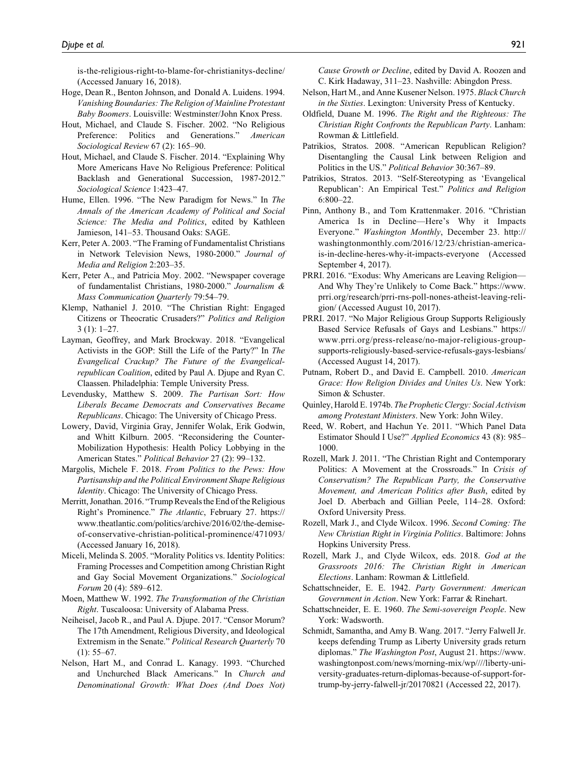[is-the-religious-right-to-blame-for-christianitys-decline/](http://www.theamericanconservative.com/articles/is-the-religious-right-to-blame-for-christianitys-decline/)  (Accessed January 16, 2018).

- Hoge, Dean R., Benton Johnson, and Donald A. Luidens. 1994. *Vanishing Boundaries: The Religion of Mainline Protestant Baby Boomers*. Louisville: Westminster/John Knox Press.
- Hout, Michael, and Claude S. Fischer. 2002. "No Religious Preference: Politics and Generations." *American Sociological Review* 67 (2): 165–90.
- Hout, Michael, and Claude S. Fischer. 2014. "Explaining Why More Americans Have No Religious Preference: Political Backlash and Generational Succession, 1987-2012." *Sociological Science* 1:423–47.
- Hume, Ellen. 1996. "The New Paradigm for News." In *The Annals of the American Academy of Political and Social Science: The Media and Politics*, edited by Kathleen Jamieson, 141–53. Thousand Oaks: SAGE.
- Kerr, Peter A. 2003. "The Framing of Fundamentalist Christians in Network Television News, 1980-2000." *Journal of Media and Religion* 2:203–35.
- Kerr, Peter A., and Patricia Moy. 2002. "Newspaper coverage of fundamentalist Christians, 1980-2000." *Journalism & Mass Communication Quarterly* 79:54–79.
- Klemp, Nathaniel J. 2010. "The Christian Right: Engaged Citizens or Theocratic Crusaders?" *Politics and Religion* 3 (1): 1–27.
- Layman, Geoffrey, and Mark Brockway. 2018. "Evangelical Activists in the GOP: Still the Life of the Party?" In *The Evangelical Crackup? The Future of the Evangelicalrepublican Coalition*, edited by Paul A. Djupe and Ryan C. Claassen. Philadelphia: Temple University Press.
- Levendusky, Matthew S. 2009. *The Partisan Sort: How Liberals Became Democrats and Conservatives Became Republicans*. Chicago: The University of Chicago Press.
- Lowery, David, Virginia Gray, Jennifer Wolak, Erik Godwin, and Whitt Kilburn. 2005. "Reconsidering the Counter-Mobilization Hypothesis: Health Policy Lobbying in the American States." *Political Behavior* 27 (2): 99–132.
- Margolis, Michele F. 2018. *From Politics to the Pews: How Partisanship and the Political Environment Shape Religious Identity*. Chicago: The University of Chicago Press.
- Merritt, Jonathan. 2016. "Trump Reveals the End of the Religious Right's Prominence." *The Atlantic*, February 27. [https://](https://www.theatlantic.com/politics/archive/2016/02/the-demise-of-conservative-christian-political-prominence/471093/) [www.theatlantic.com/politics/archive/2016/02/the-demise](https://www.theatlantic.com/politics/archive/2016/02/the-demise-of-conservative-christian-political-prominence/471093/)[of-conservative-christian-political-prominence/471093/](https://www.theatlantic.com/politics/archive/2016/02/the-demise-of-conservative-christian-political-prominence/471093/)  (Accessed January 16, 2018).
- Miceli, Melinda S. 2005. "Morality Politics vs. Identity Politics: Framing Processes and Competition among Christian Right and Gay Social Movement Organizations." *Sociological Forum* 20 (4): 589–612.
- Moen, Matthew W. 1992. *The Transformation of the Christian Right*. Tuscaloosa: University of Alabama Press.
- Neiheisel, Jacob R., and Paul A. Djupe. 2017. "Censor Morum? The 17th Amendment, Religious Diversity, and Ideological Extremism in the Senate." *Political Research Quarterly* 70  $(1): 55-67.$
- Nelson, Hart M., and Conrad L. Kanagy. 1993. "Churched and Unchurched Black Americans." In *Church and Denominational Growth: What Does (And Does Not)*

*Cause Growth or Decline*, edited by David A. Roozen and C. Kirk Hadaway, 311–23. Nashville: Abingdon Press.

- Nelson, Hart M., and Anne Kusener Nelson. 1975. *Black Church in the Sixties*. Lexington: University Press of Kentucky.
- Oldfield, Duane M. 1996. *The Right and the Righteous: The Christian Right Confronts the Republican Party*. Lanham: Rowman & Littlefield.
- Patrikios, Stratos. 2008. "American Republican Religion? Disentangling the Causal Link between Religion and Politics in the US." *Political Behavior* 30:367–89.
- Patrikios, Stratos. 2013. "Self-Stereotyping as 'Evangelical Republican': An Empirical Test." *Politics and Religion* 6:800–22.
- Pinn, Anthony B., and Tom Krattenmaker. 2016. "Christian America Is in Decline—Here's Why it Impacts Everyone." *Washington Monthly*, December 23. [http://](http://washingtonmonthly.com/2016/12/23/christian-america-is-in-decline-heres-why-it-impacts-everyone) [washingtonmonthly.com/2016/12/23/christian-america](http://washingtonmonthly.com/2016/12/23/christian-america-is-in-decline-heres-why-it-impacts-everyone)[is-in-decline-heres-why-it-impacts-everyone](http://washingtonmonthly.com/2016/12/23/christian-america-is-in-decline-heres-why-it-impacts-everyone) (Accessed September 4, 2017).
- PRRI. 2016. "Exodus: Why Americans are Leaving Religion— And Why They're Unlikely to Come Back." [https://www.](https://www.prri.org/research/prri-rns-poll-nones-atheist-leaving-religion/) [prri.org/research/prri-rns-poll-nones-atheist-leaving-reli](https://www.prri.org/research/prri-rns-poll-nones-atheist-leaving-religion/)[gion/](https://www.prri.org/research/prri-rns-poll-nones-atheist-leaving-religion/) (Accessed August 10, 2017).
- PRRI. 2017. "No Major Religious Group Supports Religiously Based Service Refusals of Gays and Lesbians." [https://](https://www.prri.org/press-release/no-major-religious-group-supports-religiously-based-service-refusals-gays-lesbians/) [www.prri.org/press-release/no-major-religious-group](https://www.prri.org/press-release/no-major-religious-group-supports-religiously-based-service-refusals-gays-lesbians/)[supports-religiously-based-service-refusals-gays-lesbians/](https://www.prri.org/press-release/no-major-religious-group-supports-religiously-based-service-refusals-gays-lesbians/) (Accessed August 14, 2017).
- Putnam, Robert D., and David E. Campbell. 2010. *American Grace: How Religion Divides and Unites Us*. New York: Simon & Schuster.
- Quinley, Harold E. 1974b. *The Prophetic Clergy: Social Activism among Protestant Ministers*. New York: John Wiley.
- Reed, W. Robert, and Hachun Ye. 2011. "Which Panel Data Estimator Should I Use?" *Applied Economics* 43 (8): 985– 1000.
- Rozell, Mark J. 2011. "The Christian Right and Contemporary Politics: A Movement at the Crossroads." In *Crisis of Conservatism? The Republican Party, the Conservative Movement, and American Politics after Bush*, edited by Joel D. Aberbach and Gillian Peele, 114–28. Oxford: Oxford University Press.
- Rozell, Mark J., and Clyde Wilcox. 1996. *Second Coming: The New Christian Right in Virginia Politics*. Baltimore: Johns Hopkins University Press.
- Rozell, Mark J., and Clyde Wilcox, eds. 2018. *God at the Grassroots 2016: The Christian Right in American Elections*. Lanham: Rowman & Littlefield.
- Schattschneider, E. E. 1942. *Party Government: American Government in Action*. New York: Farrar & Rinehart.
- Schattschneider, E. E. 1960. *The Semi-sovereign People*. New York: Wadsworth.
- Schmidt, Samantha, and Amy B. Wang. 2017. "Jerry Falwell Jr. keeps defending Trump as Liberty University grads return diplomas." *The Washington Post*, August 21. [https://www.](https://www.washingtonpost.com/news/morning-mix/wp////liberty-university-graduates-return-diplomas-because-of-support-for-trump-by-jerry-falwell-jr/20170821) [washingtonpost.com/news/morning-mix/wp////liberty-uni](https://www.washingtonpost.com/news/morning-mix/wp////liberty-university-graduates-return-diplomas-because-of-support-for-trump-by-jerry-falwell-jr/20170821)[versity-graduates-return-diplomas-because-of-support-for](https://www.washingtonpost.com/news/morning-mix/wp////liberty-university-graduates-return-diplomas-because-of-support-for-trump-by-jerry-falwell-jr/20170821)[trump-by-jerry-falwell-jr/20170821](https://www.washingtonpost.com/news/morning-mix/wp////liberty-university-graduates-return-diplomas-because-of-support-for-trump-by-jerry-falwell-jr/20170821) (Accessed 22, 2017).